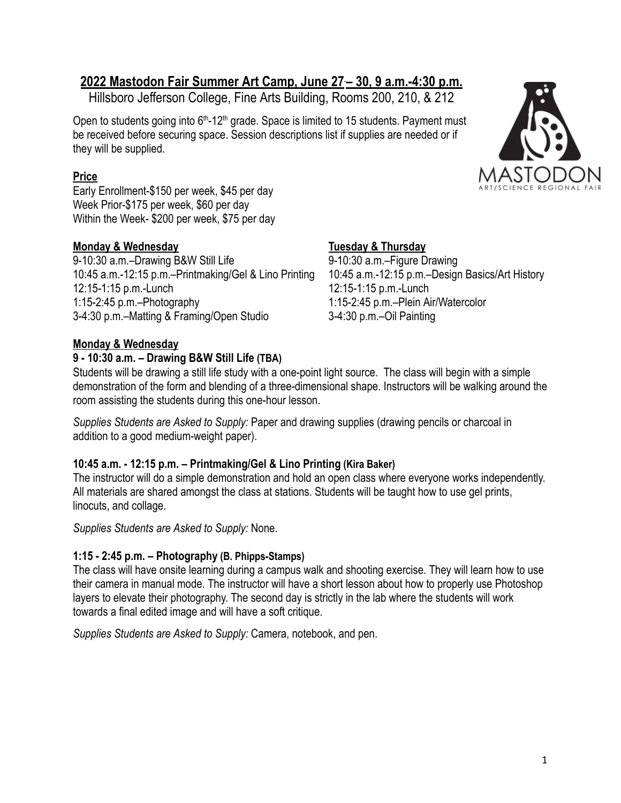# **2022 Mastodon Fair Summer Art Camp, June 27 – 30, 9 a.m.-4:30 p.m.**

Hillsboro Jefferson College, Fine Arts Building, Rooms 200, 210, & 212

Open to students going into 6<sup>th</sup>-12<sup>th</sup> grade. Space is limited to 15 students. Payment must be received before securing space. Session descriptions list if supplies are needed or if they will be supplied.

## **Price**

Early Enrollment-\$150 per week, \$45 per day Week Prior-\$175 per week, \$60 per day Within the Week- \$200 per week, \$75 per day

## **Monday & Wednesday Tuesday & Thursday**

9-10:30 a.m.–Drawing B&W Still Life 9-10:30 a.m.–Figure Drawing 10:45 a.m.-12:15 p.m.–Printmaking/Gel & Lino Printing 10:45 a.m.-12:15 p.m.–Design Basics/Art History 12:15-1:15 p.m.-Lunch 12:15-1:15 p.m.-Lunch 1:15-2:45 p.m.–Photography 1:15-2:45 p.m.–Plein Air/Watercolor 3-4:30 p.m.–Matting & Framing/Open Studio 3-4:30 p.m.–Oil Painting

## **Monday & Wednesday**

## **9 - 10:30 a.m. – Drawing B&W Still Life (TBA)**

Students will be drawing a still life study with a one-point light source. The class will begin with a simple demonstration of the form and blending of a three-dimensional shape. Instructors will be walking around the room assisting the students during this one-hour lesson.

*Supplies Students are Asked to Supply:* Paper and drawing supplies (drawing pencils or charcoal in addition to a good medium-weight paper).

## **10:45 a.m. - 12:15 p.m. – Printmaking/Gel & Lino Printing (Kira Baker)**

The instructor will do a simple demonstration and hold an open class where everyone works independently. All materials are shared amongst the class at stations. Students will be taught how to use gel prints, linocuts, and collage.

*Supplies Students are Asked to Supply:* None.

## **1:15 - 2:45 p.m. – Photography (B. Phipps-Stamps)**

The class will have onsite learning during a campus walk and shooting exercise. They will learn how to use their camera in manual mode. The instructor will have a short lesson about how to properly use Photoshop layers to elevate their photography. The second day is strictly in the lab where the students will work towards a final edited image and will have a soft critique.

*Supplies Students are Asked to Supply:* Camera, notebook, and pen.

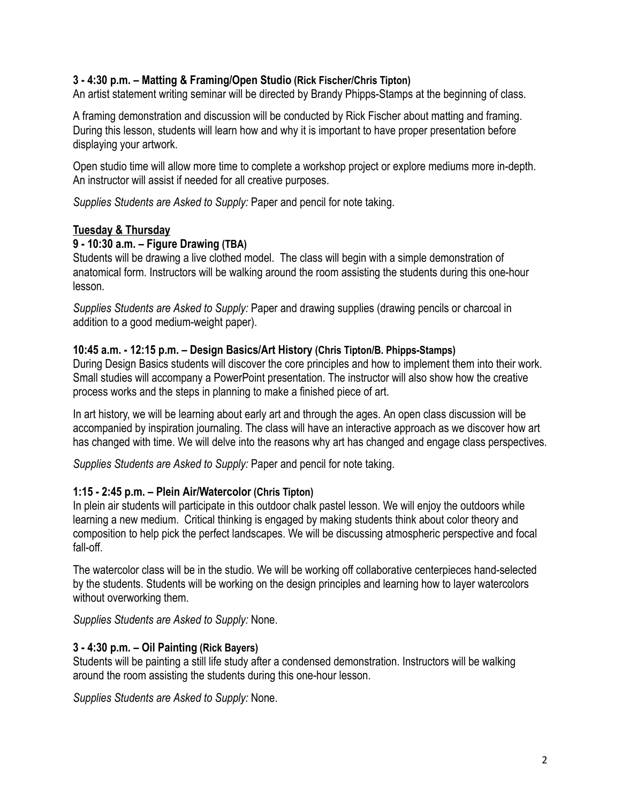### **3 - 4:30 p.m. – Matting & Framing/Open Studio (Rick Fischer/Chris Tipton)**

An artist statement writing seminar will be directed by Brandy Phipps-Stamps at the beginning of class.

A framing demonstration and discussion will be conducted by Rick Fischer about matting and framing. During this lesson, students will learn how and why it is important to have proper presentation before displaying your artwork.

Open studio time will allow more time to complete a workshop project or explore mediums more in-depth. An instructor will assist if needed for all creative purposes.

*Supplies Students are Asked to Supply:* Paper and pencil for note taking.

#### **Tuesday & Thursday**

#### **9 - 10:30 a.m. – Figure Drawing (TBA)**

Students will be drawing a live clothed model. The class will begin with a simple demonstration of anatomical form. Instructors will be walking around the room assisting the students during this one-hour lesson.

*Supplies Students are Asked to Supply:* Paper and drawing supplies (drawing pencils or charcoal in addition to a good medium-weight paper).

#### **10:45 a.m. - 12:15 p.m. – Design Basics/Art History (Chris Tipton/B. Phipps-Stamps)**

During Design Basics students will discover the core principles and how to implement them into their work. Small studies will accompany a PowerPoint presentation. The instructor will also show how the creative process works and the steps in planning to make a finished piece of art.

In art history, we will be learning about early art and through the ages. An open class discussion will be accompanied by inspiration journaling. The class will have an interactive approach as we discover how art has changed with time. We will delve into the reasons why art has changed and engage class perspectives.

*Supplies Students are Asked to Supply:* Paper and pencil for note taking.

#### **1:15 - 2:45 p.m. – Plein Air/Watercolor (Chris Tipton)**

In plein air students will participate in this outdoor chalk pastel lesson. We will enjoy the outdoors while learning a new medium. Critical thinking is engaged by making students think about color theory and composition to help pick the perfect landscapes. We will be discussing atmospheric perspective and focal fall-off.

The watercolor class will be in the studio. We will be working off collaborative centerpieces hand-selected by the students. Students will be working on the design principles and learning how to layer watercolors without overworking them.

*Supplies Students are Asked to Supply:* None.

#### **3 - 4:30 p.m. – Oil Painting (Rick Bayers)**

Students will be painting a still life study after a condensed demonstration. Instructors will be walking around the room assisting the students during this one-hour lesson.

*Supplies Students are Asked to Supply:* None.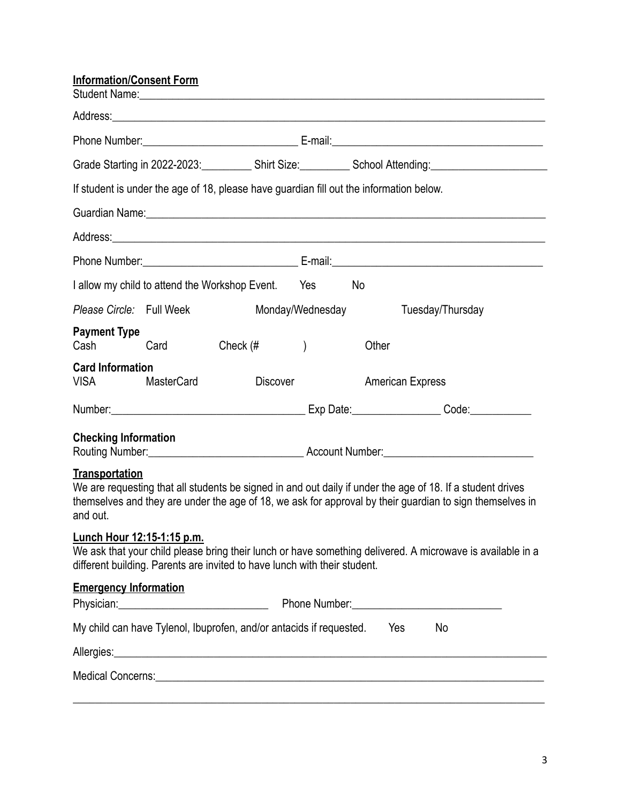| <b>Information/Consent Form</b>                                                                                                                                                                                                                             |                                                |                                                                                                                                                                                                                                |                  |       | Student Name: <u>Communications and Communications and Communications and Communications and Communications and Communications and Communications and Communications and Communications and Communications and Communications an</u> |  |
|-------------------------------------------------------------------------------------------------------------------------------------------------------------------------------------------------------------------------------------------------------------|------------------------------------------------|--------------------------------------------------------------------------------------------------------------------------------------------------------------------------------------------------------------------------------|------------------|-------|--------------------------------------------------------------------------------------------------------------------------------------------------------------------------------------------------------------------------------------|--|
|                                                                                                                                                                                                                                                             |                                                |                                                                                                                                                                                                                                |                  |       |                                                                                                                                                                                                                                      |  |
|                                                                                                                                                                                                                                                             |                                                |                                                                                                                                                                                                                                |                  |       |                                                                                                                                                                                                                                      |  |
| Grade Starting in 2022-2023: Shirt Size: School Attending: School Attending                                                                                                                                                                                 |                                                |                                                                                                                                                                                                                                |                  |       |                                                                                                                                                                                                                                      |  |
|                                                                                                                                                                                                                                                             |                                                | If student is under the age of 18, please have guardian fill out the information below.                                                                                                                                        |                  |       |                                                                                                                                                                                                                                      |  |
|                                                                                                                                                                                                                                                             |                                                | Guardian Name: 1988 Contract and the Contract of the Contract of the Contract of the Contract of the Contract of the Contract of the Contract of the Contract of the Contract of the Contract of the Contract of the Contract  |                  |       |                                                                                                                                                                                                                                      |  |
|                                                                                                                                                                                                                                                             |                                                | Address: Note and the contract of the contract of the contract of the contract of the contract of the contract of the contract of the contract of the contract of the contract of the contract of the contract of the contract |                  |       |                                                                                                                                                                                                                                      |  |
|                                                                                                                                                                                                                                                             |                                                |                                                                                                                                                                                                                                |                  |       |                                                                                                                                                                                                                                      |  |
|                                                                                                                                                                                                                                                             | I allow my child to attend the Workshop Event. |                                                                                                                                                                                                                                | Yes              | No    |                                                                                                                                                                                                                                      |  |
| Please Circle: Full Week                                                                                                                                                                                                                                    |                                                |                                                                                                                                                                                                                                | Monday/Wednesday |       | Tuesday/Thursday                                                                                                                                                                                                                     |  |
| <b>Payment Type</b><br>Cash                                                                                                                                                                                                                                 | Card                                           | Check $#$                                                                                                                                                                                                                      | $\left( \right)$ | Other |                                                                                                                                                                                                                                      |  |
| <b>Card Information</b><br><b>VISA</b>                                                                                                                                                                                                                      | <b>MasterCard</b>                              | <b>Discover</b>                                                                                                                                                                                                                |                  |       | <b>American Express</b>                                                                                                                                                                                                              |  |
|                                                                                                                                                                                                                                                             |                                                |                                                                                                                                                                                                                                |                  |       | Number: Code: Communication Code: Code: Code: Code: Code: Code: Code: Code: Code: Code: Code: Code: Code: Code                                                                                                                       |  |
| <b>Checking Information</b>                                                                                                                                                                                                                                 |                                                |                                                                                                                                                                                                                                |                  |       | Routing Number: Manual Account Number: Manual Account Number:                                                                                                                                                                        |  |
| <b>Transportation</b><br>We are requesting that all students be signed in and out daily if under the age of 18. If a student drives<br>themselves and they are under the age of 18, we ask for approval by their guardian to sign themselves in<br>and out. |                                                |                                                                                                                                                                                                                                |                  |       |                                                                                                                                                                                                                                      |  |
| Lunch Hour 12:15-1:15 p.m.                                                                                                                                                                                                                                  |                                                | different building. Parents are invited to have lunch with their student.                                                                                                                                                      |                  |       | We ask that your child please bring their lunch or have something delivered. A microwave is available in a                                                                                                                           |  |
| <b>Emergency Information</b>                                                                                                                                                                                                                                |                                                |                                                                                                                                                                                                                                |                  |       | Phone Number: 2008                                                                                                                                                                                                                   |  |
|                                                                                                                                                                                                                                                             |                                                | My child can have Tylenol, Ibuprofen, and/or antacids if requested. Yes                                                                                                                                                        |                  |       | No                                                                                                                                                                                                                                   |  |
|                                                                                                                                                                                                                                                             |                                                |                                                                                                                                                                                                                                |                  |       |                                                                                                                                                                                                                                      |  |
|                                                                                                                                                                                                                                                             |                                                |                                                                                                                                                                                                                                |                  |       | Medical Concerns: New York Concerns and Concerns and Concerns and Concerns and Concerns and Concerns and Concerns and Concerns and Concerns and Concerns and Concerns and Concerns and Concerns and Concerns and Concerns and        |  |